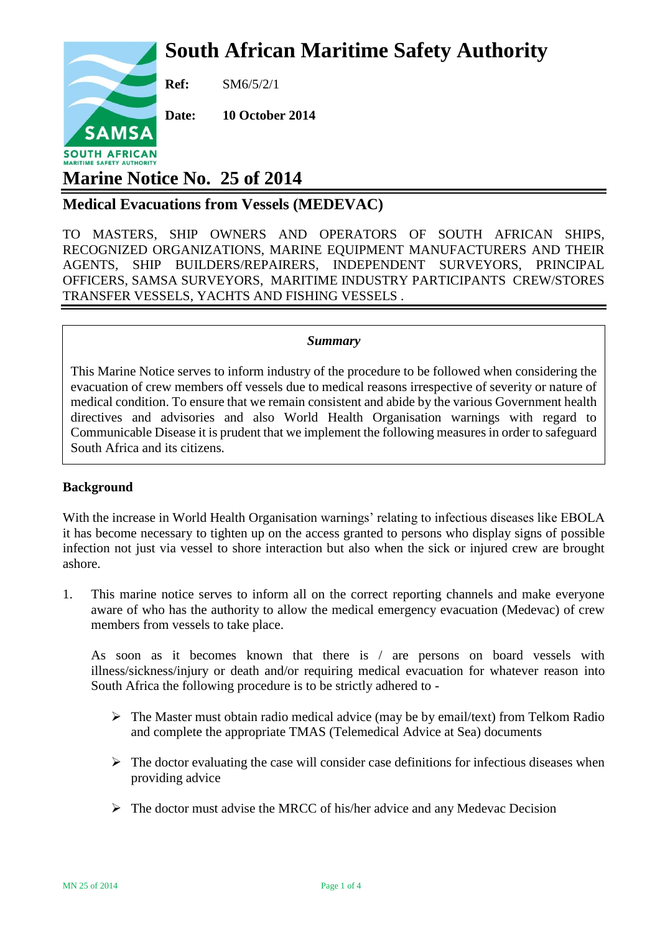# **South African Maritime Safety Authority**



**Ref:** SM6/5/2/1

**Date: 10 October 2014**

## **Marine Notice No. 25 of 2014**

### **Medical Evacuations from Vessels (MEDEVAC)**

TO MASTERS, SHIP OWNERS AND OPERATORS OF SOUTH AFRICAN SHIPS, RECOGNIZED ORGANIZATIONS, MARINE EQUIPMENT MANUFACTURERS AND THEIR AGENTS, SHIP BUILDERS/REPAIRERS, INDEPENDENT SURVEYORS, PRINCIPAL OFFICERS, SAMSA SURVEYORS, MARITIME INDUSTRY PARTICIPANTS CREW/STORES TRANSFER VESSELS, YACHTS AND FISHING VESSELS .

#### *Summary*

This Marine Notice serves to inform industry of the procedure to be followed when considering the evacuation of crew members off vessels due to medical reasons irrespective of severity or nature of medical condition. To ensure that we remain consistent and abide by the various Government health directives and advisories and also World Health Organisation warnings with regard to Communicable Disease it is prudent that we implement the following measures in order to safeguard South Africa and its citizens*.*

#### **Background**

With the increase in World Health Organisation warnings' relating to infectious diseases like EBOLA it has become necessary to tighten up on the access granted to persons who display signs of possible infection not just via vessel to shore interaction but also when the sick or injured crew are brought ashore.

1. This marine notice serves to inform all on the correct reporting channels and make everyone aware of who has the authority to allow the medical emergency evacuation (Medevac) of crew members from vessels to take place.

As soon as it becomes known that there is / are persons on board vessels with illness/sickness/injury or death and/or requiring medical evacuation for whatever reason into South Africa the following procedure is to be strictly adhered to -

- $\triangleright$  The Master must obtain radio medical advice (may be by email/text) from Telkom Radio and complete the appropriate TMAS (Telemedical Advice at Sea) documents
- $\triangleright$  The doctor evaluating the case will consider case definitions for infectious diseases when providing advice
- $\triangleright$  The doctor must advise the MRCC of his/her advice and any Medevac Decision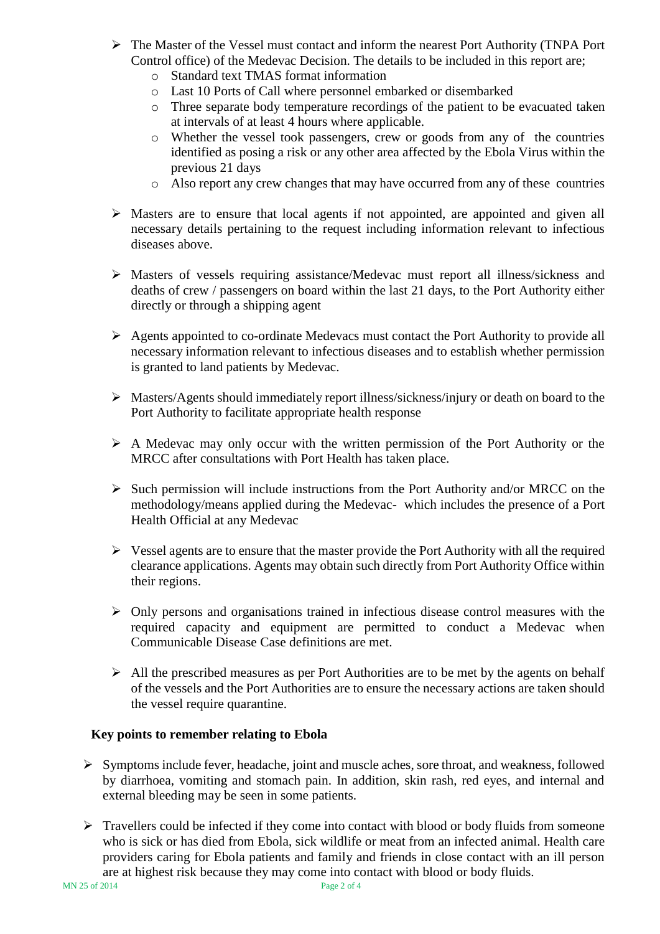- The Master of the Vessel must contact and inform the nearest Port Authority (TNPA Port Control office) of the Medevac Decision. The details to be included in this report are;
	- o Standard text TMAS format information
	- o Last 10 Ports of Call where personnel embarked or disembarked
	- o Three separate body temperature recordings of the patient to be evacuated taken at intervals of at least 4 hours where applicable.
	- o Whether the vessel took passengers, crew or goods from any of the countries identified as posing a risk or any other area affected by the Ebola Virus within the previous 21 days
	- o Also report any crew changes that may have occurred from any of these countries
- $\triangleright$  Masters are to ensure that local agents if not appointed, are appointed and given all necessary details pertaining to the request including information relevant to infectious diseases above.
- Masters of vessels requiring assistance/Medevac must report all illness/sickness and deaths of crew / passengers on board within the last 21 days, to the Port Authority either directly or through a shipping agent
- Agents appointed to co-ordinate Medevacs must contact the Port Authority to provide all necessary information relevant to infectious diseases and to establish whether permission is granted to land patients by Medevac.
- Masters/Agents should immediately report illness/sickness/injury or death on board to the Port Authority to facilitate appropriate health response
- $\triangleright$  A Medevac may only occur with the written permission of the Port Authority or the MRCC after consultations with Port Health has taken place.
- $\triangleright$  Such permission will include instructions from the Port Authority and/or MRCC on the methodology/means applied during the Medevac- which includes the presence of a Port Health Official at any Medevac
- $\triangleright$  Vessel agents are to ensure that the master provide the Port Authority with all the required clearance applications. Agents may obtain such directly from Port Authority Office within their regions.
- $\triangleright$  Only persons and organisations trained in infectious disease control measures with the required capacity and equipment are permitted to conduct a Medevac when Communicable Disease Case definitions are met.
- $\triangleright$  All the prescribed measures as per Port Authorities are to be met by the agents on behalf of the vessels and the Port Authorities are to ensure the necessary actions are taken should the vessel require quarantine.

#### **Key points to remember relating to Ebola**

- $\triangleright$  Symptoms include fever, headache, joint and muscle aches, sore throat, and weakness, followed by diarrhoea, vomiting and stomach pain. In addition, skin rash, red eyes, and internal and external bleeding may be seen in some patients.
- > Travellers could be infected if they come into contact with blood or body fluids from someone who is sick or has died from Ebola, sick wildlife or meat from an infected animal. Health care providers caring for Ebola patients and family and friends in close contact with an ill person are at highest risk because they may come into contact with blood or body fluids.